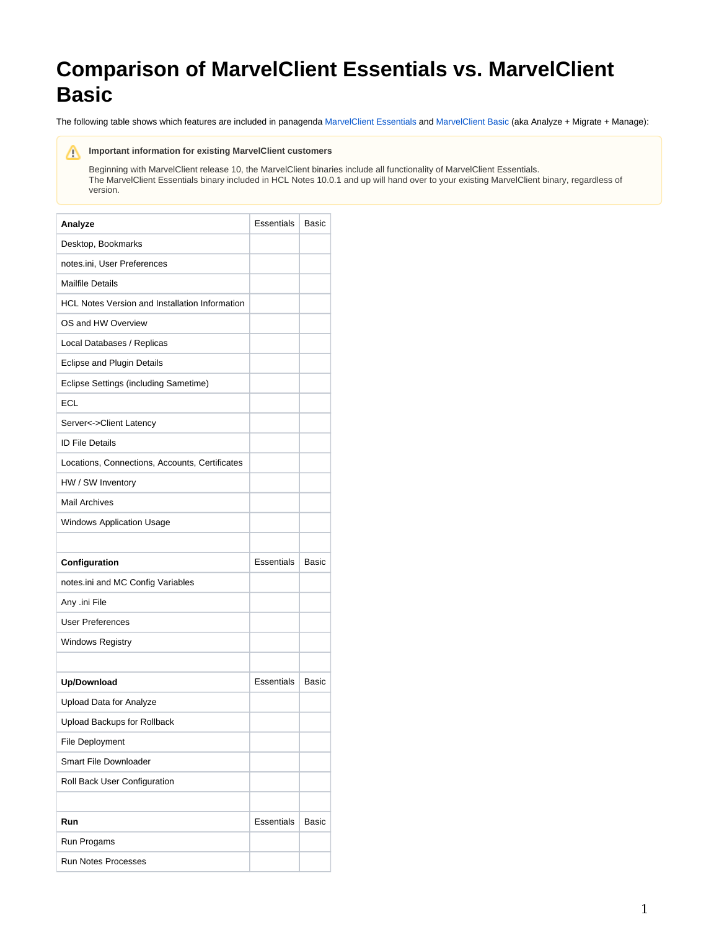## **Comparison of MarvelClient Essentials vs. MarvelClient Basic**

The following table shows which features are included in panagenda [MarvelClient Essentials](http://kbase-prod-01.panagenda.local:8090/kbase/display/mc/MarvelClient+Essentials) and [MarvelClient Basic](http://kbase-prod-01.panagenda.local:8090/kbase/display/mc/About+panagenda+MarvelClient) (aka Analyze + Migrate + Manage):

## **Important information for existing MarvelClient customers**

Beginning with MarvelClient release 10, the MarvelClient binaries include all functionality of MarvelClient Essentials. The MarvelClient Essentials binary included in HCL Notes 10.0.1 and up will hand over to your existing MarvelClient binary, regardless of version.

| Analyze                                               | <b>Essentials</b> | <b>Basic</b> |
|-------------------------------------------------------|-------------------|--------------|
| Desktop, Bookmarks                                    |                   |              |
| notes.ini, User Preferences                           |                   |              |
| <b>Mailfile Details</b>                               |                   |              |
| <b>HCL Notes Version and Installation Information</b> |                   |              |
| OS and HW Overview                                    |                   |              |
| Local Databases / Replicas                            |                   |              |
| Eclipse and Plugin Details                            |                   |              |
| Eclipse Settings (including Sametime)                 |                   |              |
| <b>ECL</b>                                            |                   |              |
| Server<->Client Latency                               |                   |              |
| <b>ID File Details</b>                                |                   |              |
| Locations, Connections, Accounts, Certificates        |                   |              |
| HW / SW Inventory                                     |                   |              |
| <b>Mail Archives</b>                                  |                   |              |
| <b>Windows Application Usage</b>                      |                   |              |
|                                                       |                   |              |
| Configuration                                         | Essentials        | <b>Basic</b> |
| notes.ini and MC Config Variables                     |                   |              |
| Any .ini File                                         |                   |              |
| <b>User Preferences</b>                               |                   |              |
| <b>Windows Registry</b>                               |                   |              |
|                                                       |                   |              |
| Up/Download                                           | <b>Essentials</b> | <b>Basic</b> |
| Upload Data for Analyze                               |                   |              |
| Upload Backups for Rollback                           |                   |              |
| File Deployment                                       |                   |              |
| <b>Smart File Downloader</b>                          |                   |              |
| Roll Back User Configuration                          |                   |              |
|                                                       |                   |              |
| Run                                                   | <b>Essentials</b> | <b>Basic</b> |
| Run Progams                                           |                   |              |
| <b>Run Notes Processes</b>                            |                   |              |